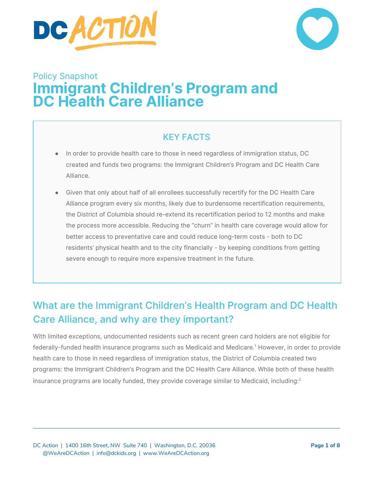



# Policy Snapshot **Immigrant Children's Program and DC Health Care Alliance**

## KEY FACTS

- In order to provide health care to those in need regardless of immigration status, DC created and funds two programs: the Immigrant Children's Program and DC Health Care Alliance.
- Given that only about half of all enrollees successfully recertify for the DC Health Care Alliance program every six months, likely due to burdensome recertification requirements, the District of Columbia should re-extend its recertification period to 12 months and make the process more accessible. Reducing the "churn" in health care coverage would allow for better access to preventative care and could reduce long-term costs - both to DC residents' physical health and to the city financially - by keeping conditions from getting severe enough to require more expensive treatment in the future.

# What are the Immigrant Children's Health Program and DC Health Care Alliance, and why are they important?

With limited exceptions, undocumented residents such as recent green card holders are not eligible for federally-funded health insurance programs such as Medicaid and Medicare. <sup>1</sup> However, in order to provide health care to those in need regardless of immigration status, the District of Columbia created two programs: the Immigrant Children's Program and the DC Health Care Alliance. While both of these health insurance programs are locally funded, they provide coverage similar to Medicaid, including: $^{\text{2}}$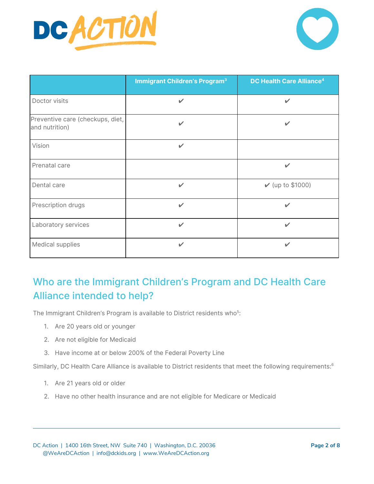



|                                                    | <b>Immigrant Children's Program<sup>3</sup></b> | DC Health Care Alliance <sup>4</sup> |
|----------------------------------------------------|-------------------------------------------------|--------------------------------------|
| Doctor visits                                      | $\mathbf{v}$                                    | $\checkmark$                         |
| Preventive care (checkups, diet,<br>and nutrition) | $\checkmark$                                    | ✓                                    |
| Vision                                             | $\checkmark$                                    |                                      |
| Prenatal care                                      |                                                 | ✓                                    |
| Dental care                                        | $\checkmark$                                    | $\nu$ (up to \$1000)                 |
| Prescription drugs                                 | $\checkmark$                                    | $\checkmark$                         |
| Laboratory services                                | $\checkmark$                                    | ✓                                    |
| Medical supplies                                   | $\checkmark$                                    | ✓                                    |

# Who are the Immigrant Children's Program and DC Health Care Alliance intended to help?

The Immigrant Children's Program is available to District residents who<sup>5</sup>:

- 1. Are 20 years old or younger
- 2. Are not eligible for Medicaid
- 3. Have income at or below 200% of the Federal Poverty Line

Similarly, DC Health Care Alliance is available to District residents that meet the following requirements: $^6$ 

- 1. Are 21 years old or older
- 2. Have no other health insurance and are not eligible for Medicare or Medicaid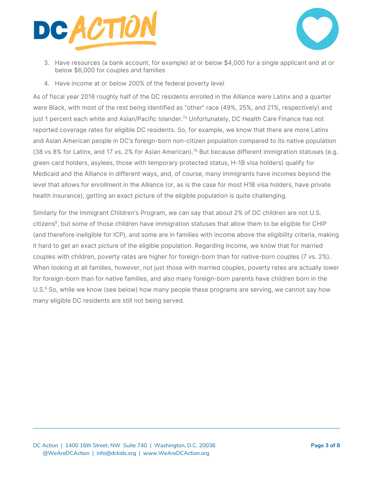



- 3. Have resources (a bank account, for example) at or below \$4,000 for a single applicant and at or below \$6,000 for couples and families
- 4. Have income at or below 200% of the federal poverty level

As of fiscal year 2018 roughly half of the DC residents enrolled in the Alliance were Latinx and a quarter were Black, with most of the rest being identified as "other" race (49%, 25%, and 21%, respectively) and just 1 percent each white and Asian/Pacific Islander.<sup>7a</sup> Unfortunately, DC Health Care Finance has not reported coverage rates for eligible DC residents. So, for example, we know that there are more Latinx and Asian American people in DC's foreign-born non-citizen population compared to its native population (38 vs 8% for Latinx, and 17 vs. 2% for Asian American).<sup>7b</sup> But because different immigration statuses (e.g. green card holders, asylees, those with temporary protected status, H-1B visa holders) qualify for Medicaid and the Alliance in different ways, and, of course, many immigrants have incomes beyond the level that allows for enrollment in the Alliance (or, as is the case for most H1B visa holders, have private health insurance), getting an exact picture of the eligible population is quite challenging.

Similarly for the Immigrant Children's Program, we can say that about 2% of DC children are not U.S. citizens 8 , but some of those children have immigration statuses that allow them to be eligible for CHIP (and therefore ineligible for ICP), and some are in families with income above the eligibility criteria, making it hard to get an exact picture of the eligible population. Regarding income, we know that for married couples with children, poverty rates are higher for foreign-born than for native-born couples (7 vs. 2%). When looking at all families, however, not just those with married couples, poverty rates are actually lower for foreign-born than for native families, and also many foreign-born parents have children born in the U.S.<sup>9</sup> So, while we know (see below) how many people these programs are serving, we cannot say how many eligible DC residents are still not being served.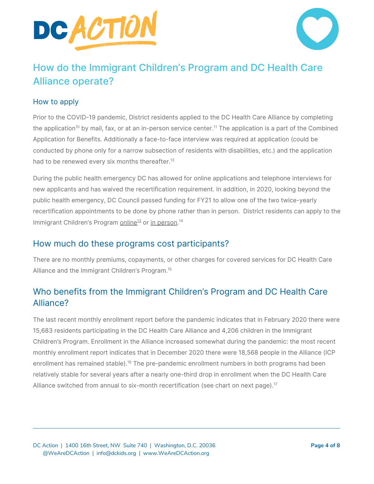



# How do the Immigrant Children's Program and DC Health Care Alliance operate?

#### How to apply

Prior to the COVID-19 pandemic, District residents applied to the DC Health Care Alliance by completing the [application](https://dhs.dc.gov/publication/combined-application-benefits)<sup>[10](https://dhs.dc.gov/publication/combined-application-benefits)</sup> by mail, fax, or at an in-person service center.<sup>11</sup> The application is a part of the Combined Application for Benefits. Additionally a face-to-face interview was required at application (could be conducted by phone only for a narrow subsection of residents with disabilities, etc.) and the application had to be renewed every six months thereafter.<sup>12</sup>

During the public health emergency DC has allowed for online applications and telephone interviews for new applicants and has waived the recertification requirement. In addition, in 2020, looking beyond the public health emergency, DC Council passed funding for FY21 to allow one of the two twice-yearly recertification appointments to be done by phone rather than in person. District residents can apply to the lmmigrant Children's Program <u>[online](https://enroll.dchealthlink.com/users/sign_up)<sup>[13](https://enroll.dchealthlink.com/users/sign_up)</sup> or in [person](https://dhs.dc.gov/service/find-service-center-near-you)</u>.<sup>14</sup>

### How much do these programs cost participants?

There are no monthly premiums, copayments, or other charges for covered services for DC Health Care Alliance and the Immigrant Children's Program. 15

## Who benefits from the Immigrant Children's Program and DC Health Care Alliance?

The last recent monthly enrollment report before the pandemic indicates that in February 2020 there were 15,683 residents participating in the DC Health Care Alliance and 4,206 children in the Immigrant Children's Program. Enrollment in the Alliance increased somewhat during the pandemic: the most recent monthly enrollment report indicates that in December 2020 there were 18,568 people in the Alliance (ICP enrollment has remained stable).<sup>16</sup> The pre-pandemic enrollment numbers in both programs had been relatively stable for several years after a nearly one-third drop in enrollment when the DC Health Care Alliance switched from annual to six-month recertification (see chart on next page).<sup>17</sup>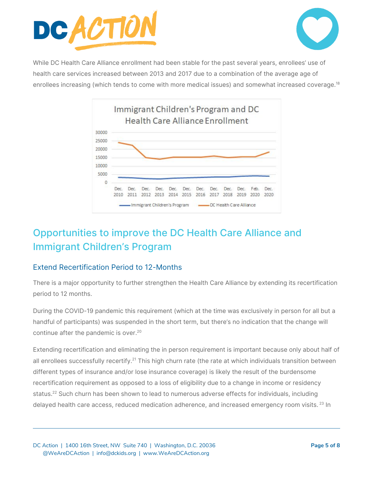



While DC Health Care Alliance enrollment had been stable for the past several years, enrollees' use of health care services increased between 2013 and 2017 due to a combination of the average age of enrollees increasing (which tends to come with more medical issues) and somewhat increased coverage.<sup>18</sup>



# Opportunities to improve the DC Health Care Alliance and Immigrant Children's Program

#### Extend Recertification Period to 12-Months

There is a major opportunity to further strengthen the Health Care Alliance by extending its recertification period to 12 months.

During the COVID-19 pandemic this requirement (which at the time was exclusively in person for all but a handful of participants) was suspended in the short term, but there's no indication that the change will continue after the pandemic is over. 20

Extending recertification and eliminating the in person requirement is important because only about half of all enrollees successfully recertify.<sup>21</sup> This high churn rate (the rate at which individuals transition between different types of insurance and/or lose insurance coverage) is likely the result of the burdensome recertification requirement as opposed to a loss of eligibility due to a change in income or residency status.<sup>22</sup> Such churn has been shown to lead to numerous adverse effects for individuals, including delayed health care access, reduced medication adherence, and increased emergency room visits. <sup>23</sup> In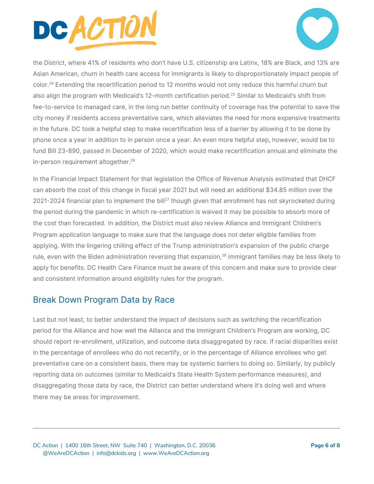



the District, where 41% of residents who don't have U.S. citizenship are Latinx, 18% are Black, and 13% are Asian American, churn in health care access for immigrants is likely to disproportionately impact people of color. <sup>24</sup> Extending the recertification period to 12 months would not only reduce this harmful churn but also align the program with Medicaid's 12-month certification period. <sup>25</sup> Similar to Medicaid's shift from fee-to-service to managed care, in the long run better continuity of coverage has the potential to save the city money if residents access preventative care, which alleviates the need for more expensive treatments in the future. DC took a helpful step to make recertification less of a barrier by allowing it to be done by phone once a year in addition to in person once a year. An even more helpful step, however, would be to fund Bill 23-890, passed in December of 2020, which would make recertification annual.and eliminate the in-person requirement altogether. 26

In the Financial Impact Statement for that legislation the Office of Revenue Analysis estimated that DHCF can absorb the cost of this change in fiscal year 2021 but will need an additional \$34.85 million over the 2021-2024 financial plan to implement the bill<sup>27</sup> though given that enrollment has not skyrocketed during the period during the pandemic in which re-certification is waived it may be possible to absorb more of the cost than forecasted. In addition, the District must also review Alliance and Immigrant Children's Program application language to make sure that the language does not deter eligible families from applying. With the lingering chilling effect of the Trump administration's expansion of the public charge rule, even with the Biden administration reversing that expansion,<sup>28</sup> immigrant families may be less likely to apply for benefits. DC Health Care Finance must be aware of this concern and make sure to provide clear and consistent information around eligibility rules for the program.

## Break Down Program Data by Race

Last but not least, to better understand the impact of decisions such as switching the recertification period for the Alliance and how well the Alliance and the Immigrant Children's Program are working, DC should report re-enrollment, utilization, and outcome data disaggregated by race. If racial disparities exist in the percentage of enrollees who do not recertify, or in the percentage of Alliance enrollees who get preventative care on a consistent basis, there may be systemic barriers to doing so. Similarly, by publicly reporting data on outcomes (similar to Medicaid's State Health System performance measures), and disaggregating those data by race, the District can better understand where it's doing well and where there may be areas for improvement.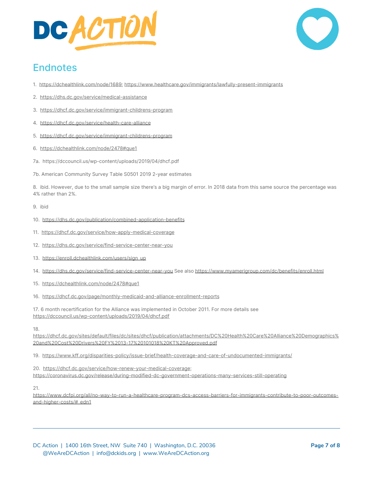



## **Endnotes**

- 1. [https://dchealthlink.com/node/1689;](https://dchealthlink.com/node/1689) [https://www.healthcare.gov/immigrants/lawfully-present-immigrants](https://www.healthcare.gov/immigrants/lawfully-present-immigrants/)
- 2. <https://dhs.dc.gov/service/medical-assistance>
- 3. <https://dhcf.dc.gov/service/immigrant-childrens-program>
- 4. <https://dhcf.dc.gov/service/health-care-alliance>
- 5. <https://dhcf.dc.gov/service/immigrant-childrens-program>
- 6. <https://dchealthlink.com/node/2478#que1>
- 7a. https://dccouncil.us/wp-content/uploads/2019/04/dhcf.pdf
- 7b. American Community Survey Table S0501 2019 2-year estimates

8. ibid. However, due to the small sample size there's a big margin of error. In 2018 data from this same source the percentage was 4% rather than 2%.

#### 9. ibid

- 10. <https://dhs.dc.gov/publication/combined-application-benefits>
- 11. <https://dhcf.dc.gov/service/how-apply-medical-coverage>
- 12. <https://dhs.dc.gov/service/find-service-center-near-you>
- 13. [https://enroll.dchealthlink.com/users/sign\\_up](https://enroll.dchealthlink.com/users/sign_up)
- 14. <https://dhs.dc.gov/service/find-service-center-near-you> See also <https://www.myamerigroup.com/dc/benefits/enroll.html>
- 15. <https://dchealthlink.com/node/2478#que1>
- 16. <https://dhcf.dc.gov/page/monthly-medicaid-and-alliance-enrollment-reports>

17. 6 month recertification for the Alliance was implemented in October 2011. For more details see <https://dccouncil.us/wp-content/uploads/2019/04/dhcf.pdf>

18.

[https://dhcf.dc.gov/sites/default/files/dc/sites/dhcf/publication/attachments/DC%20Health%20Care%20Alliance%20Demographics%](https://dhcf.dc.gov/sites/default/files/dc/sites/dhcf/publication/attachments/DC%20Health%20Care%20Alliance%20Demographics%20and%20Cost%20Drivers%20FY%2013-17%20101018%20KT%20Approved.pdf) [20and%20Cost%20Drivers%20FY%2013-17%20101018%20KT%20Approved.pdf](https://dhcf.dc.gov/sites/default/files/dc/sites/dhcf/publication/attachments/DC%20Health%20Care%20Alliance%20Demographics%20and%20Cost%20Drivers%20FY%2013-17%20101018%20KT%20Approved.pdf)

19. <https://www.kff.org/disparities-policy/issue-brief/health-coverage-and-care-of-undocumented-immigrants/>

20. <https://dhcf.dc.gov/service/how-renew-your-medical-coverage>;

<https://coronavirus.dc.gov/release/during-modified-dc-government-operations-many-services-still-operating>

21.

[https://www.dcfpi.org/all/no-way-to-run-a-healthcare-program-dcs-access-barriers-for-immigrants-contribute-to-poor-outcomes](https://www.dcfpi.org/all/no-way-to-run-a-healthcare-program-dcs-access-barriers-for-immigrants-contribute-to-poor-outcomes-and-higher-costs/#_edn1)[and-higher-costs/#\\_edn1](https://www.dcfpi.org/all/no-way-to-run-a-healthcare-program-dcs-access-barriers-for-immigrants-contribute-to-poor-outcomes-and-higher-costs/#_edn1)